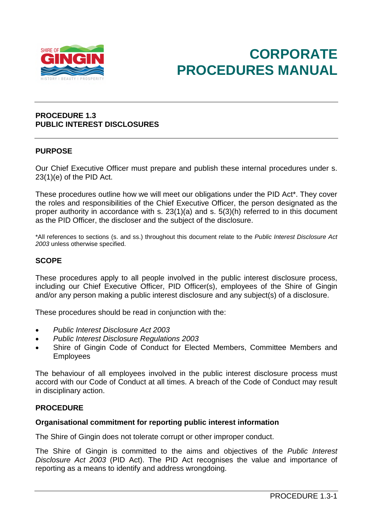

# **CORPORATE PROCEDURES MANUAL**

## **PROCEDURE 1.3 PUBLIC INTEREST DISCLOSURES**

## **PURPOSE**

Our Chief Executive Officer must prepare and publish these internal procedures under s. 23(1)(e) of the PID Act.

These procedures outline how we will meet our obligations under the PID Act\*. They cover the roles and responsibilities of the Chief Executive Officer, the person designated as the proper authority in accordance with s. 23(1)(a) and s. 5(3)(h) referred to in this document as the PID Officer, the discloser and the subject of the disclosure.

\*All references to sections (s. and ss.) throughout this document relate to the *Public Interest Disclosure Act 2003* unless otherwise specified.

## **SCOPE**

These procedures apply to all people involved in the public interest disclosure process, including our Chief Executive Officer, PID Officer(s), employees of the Shire of Gingin and/or any person making a public interest disclosure and any subject(s) of a disclosure.

These procedures should be read in conjunction with the:

- *Public Interest Disclosure Act 2003*
- *Public Interest Disclosure Regulations 2003*
- Shire of Gingin Code of Conduct for Elected Members, Committee Members and Employees

The behaviour of all employees involved in the public interest disclosure process must accord with our Code of Conduct at all times. A breach of the Code of Conduct may result in disciplinary action.

## **PROCEDURE**

## **Organisational commitment for reporting public interest information**

The Shire of Gingin does not tolerate corrupt or other improper conduct.

The Shire of Gingin is committed to the aims and objectives of the *Public Interest Disclosure Act 2003* (PID Act). The PID Act recognises the value and importance of reporting as a means to identify and address wrongdoing.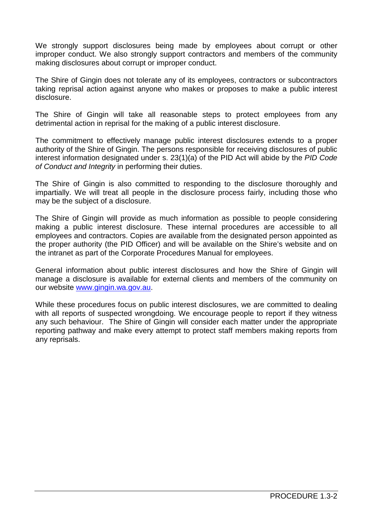We strongly support disclosures being made by employees about corrupt or other improper conduct. We also strongly support contractors and members of the community making disclosures about corrupt or improper conduct.

The Shire of Gingin does not tolerate any of its employees, contractors or subcontractors taking reprisal action against anyone who makes or proposes to make a public interest disclosure.

The Shire of Gingin will take all reasonable steps to protect employees from any detrimental action in reprisal for the making of a public interest disclosure.

The commitment to effectively manage public interest disclosures extends to a proper authority of the Shire of Gingin. The persons responsible for receiving disclosures of public interest information designated under s. 23(1)(a) of the PID Act will abide by the *PID Code of Conduct and Integrity* in performing their duties.

The Shire of Gingin is also committed to responding to the disclosure thoroughly and impartially. We will treat all people in the disclosure process fairly, including those who may be the subject of a disclosure.

The Shire of Gingin will provide as much information as possible to people considering making a public interest disclosure. These internal procedures are accessible to all employees and contractors. Copies are available from the designated person appointed as the proper authority (the PID Officer) and will be available on the Shire's website and on the intranet as part of the Corporate Procedures Manual for employees.

General information about public interest disclosures and how the Shire of Gingin will manage a disclosure is available for external clients and members of the community on our website [www.gingin.wa.gov.au.](http://www.gingin.wa.gov.au/)

While these procedures focus on public interest disclosures, we are committed to dealing with all reports of suspected wrongdoing. We encourage people to report if they witness any such behaviour. The Shire of Gingin will consider each matter under the appropriate reporting pathway and make every attempt to protect staff members making reports from any reprisals.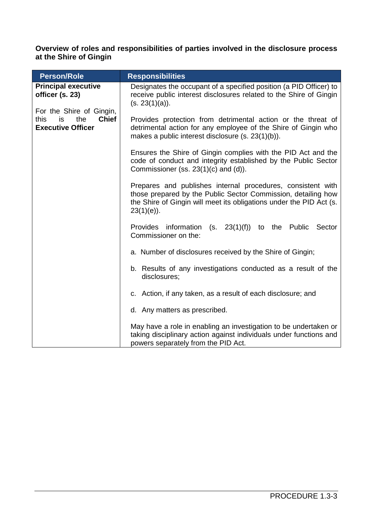## **Overview of roles and responsibilities of parties involved in the disclosure process at the Shire of Gingin**

| <b>Person/Role</b>                                                                        | <b>Responsibilities</b>                                                                                                                                                                                              |  |  |  |
|-------------------------------------------------------------------------------------------|----------------------------------------------------------------------------------------------------------------------------------------------------------------------------------------------------------------------|--|--|--|
| <b>Principal executive</b><br>officer (s. 23)                                             | Designates the occupant of a specified position (a PID Officer) to<br>receive public interest disclosures related to the Shire of Gingin<br>(s. 23(1)(a)).                                                           |  |  |  |
| For the Shire of Gingin,<br><b>Chief</b><br>this<br>is<br>the<br><b>Executive Officer</b> | Provides protection from detrimental action or the threat of<br>detrimental action for any employee of the Shire of Gingin who<br>makes a public interest disclosure (s. 23(1)(b)).                                  |  |  |  |
|                                                                                           | Ensures the Shire of Gingin complies with the PID Act and the<br>code of conduct and integrity established by the Public Sector<br>Commissioner (ss. $23(1)(c)$ and $(d)$ ).                                         |  |  |  |
|                                                                                           | Prepares and publishes internal procedures, consistent with<br>those prepared by the Public Sector Commission, detailing how<br>the Shire of Gingin will meet its obligations under the PID Act (s.<br>$23(1)(e)$ ). |  |  |  |
|                                                                                           | Provides information<br>$(s. 23(1)(f))$ to the Public<br>Sector<br>Commissioner on the:                                                                                                                              |  |  |  |
|                                                                                           | a. Number of disclosures received by the Shire of Gingin;                                                                                                                                                            |  |  |  |
|                                                                                           | b. Results of any investigations conducted as a result of the<br>disclosures;                                                                                                                                        |  |  |  |
|                                                                                           | c. Action, if any taken, as a result of each disclosure; and                                                                                                                                                         |  |  |  |
|                                                                                           | d. Any matters as prescribed.                                                                                                                                                                                        |  |  |  |
|                                                                                           | May have a role in enabling an investigation to be undertaken or<br>taking disciplinary action against individuals under functions and<br>powers separately from the PID Act.                                        |  |  |  |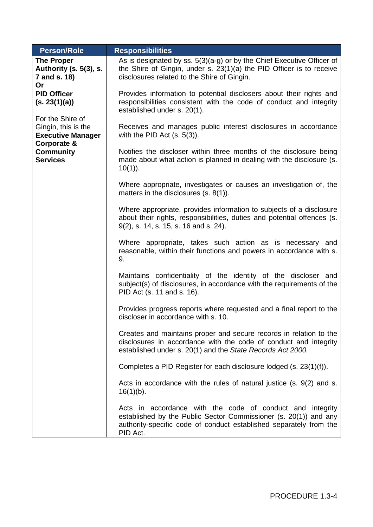| <b>Person/Role</b>                                                                                                                                               | <b>Responsibilities</b>                                                                                                                                                                                         |  |  |
|------------------------------------------------------------------------------------------------------------------------------------------------------------------|-----------------------------------------------------------------------------------------------------------------------------------------------------------------------------------------------------------------|--|--|
| <b>The Proper</b><br>Authority (s. 5(3), s.<br>7 and s. 18)<br>Or                                                                                                | As is designated by ss. $5(3)(a-g)$ or by the Chief Executive Officer of<br>the Shire of Gingin, under s. 23(1)(a) the PID Officer is to receive<br>disclosures related to the Shire of Gingin.                 |  |  |
| <b>PID Officer</b><br>(s. 23(1)(a))<br>For the Shire of<br>Gingin, this is the<br><b>Executive Manager</b><br>Corporate &<br><b>Community</b><br><b>Services</b> | Provides information to potential disclosers about their rights and<br>responsibilities consistent with the code of conduct and integrity<br>established under s. 20(1).                                        |  |  |
|                                                                                                                                                                  | Receives and manages public interest disclosures in accordance<br>with the PID Act $(s. 5(3))$ .                                                                                                                |  |  |
|                                                                                                                                                                  | Notifies the discloser within three months of the disclosure being<br>made about what action is planned in dealing with the disclosure (s.<br>$10(1)$ ).                                                        |  |  |
|                                                                                                                                                                  | Where appropriate, investigates or causes an investigation of, the<br>matters in the disclosures $(s. 8(1))$ .                                                                                                  |  |  |
|                                                                                                                                                                  | Where appropriate, provides information to subjects of a disclosure<br>about their rights, responsibilities, duties and potential offences (s.<br>9(2), s. 14, s. 15, s. 16 and s. 24).                         |  |  |
|                                                                                                                                                                  | Where appropriate, takes such action as is necessary and<br>reasonable, within their functions and powers in accordance with s.<br>9.                                                                           |  |  |
|                                                                                                                                                                  | Maintains confidentiality of the identity of the discloser and<br>subject(s) of disclosures, in accordance with the requirements of the<br>PID Act (s. 11 and s. 16).                                           |  |  |
|                                                                                                                                                                  | Provides progress reports where requested and a final report to the<br>discloser in accordance with s. 10.                                                                                                      |  |  |
|                                                                                                                                                                  | Creates and maintains proper and secure records in relation to the<br>disclosures in accordance with the code of conduct and integrity<br>established under s. 20(1) and the State Records Act 2000.            |  |  |
|                                                                                                                                                                  | Completes a PID Register for each disclosure lodged (s. 23(1)(f)).                                                                                                                                              |  |  |
|                                                                                                                                                                  | Acts in accordance with the rules of natural justice $(s. 9(2)$ and s.<br>$16(1)(b)$ .                                                                                                                          |  |  |
|                                                                                                                                                                  | Acts in accordance with the code of conduct and integrity<br>established by the Public Sector Commissioner (s. 20(1)) and any<br>authority-specific code of conduct established separately from the<br>PID Act. |  |  |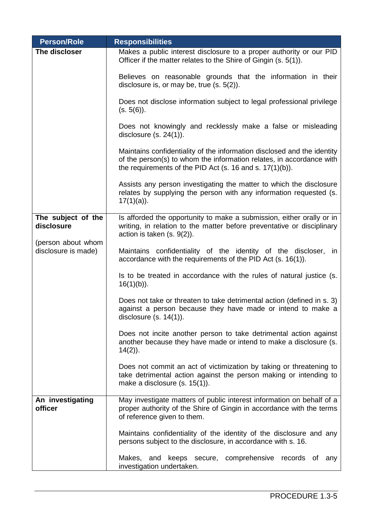| <b>Person/Role</b>                                                            | <b>Responsibilities</b>                                                                                                                                                                                        |  |  |
|-------------------------------------------------------------------------------|----------------------------------------------------------------------------------------------------------------------------------------------------------------------------------------------------------------|--|--|
| The discloser                                                                 | Makes a public interest disclosure to a proper authority or our PID<br>Officer if the matter relates to the Shire of Gingin (s. 5(1)).                                                                         |  |  |
|                                                                               | Believes on reasonable grounds that the information in their<br>disclosure is, or may be, true $(s. 5(2))$ .                                                                                                   |  |  |
|                                                                               | Does not disclose information subject to legal professional privilege<br>(s. 5(6)).                                                                                                                            |  |  |
|                                                                               | Does not knowingly and recklessly make a false or misleading<br>disclosure $(s. 24(1))$ .                                                                                                                      |  |  |
|                                                                               | Maintains confidentiality of the information disclosed and the identity<br>of the person(s) to whom the information relates, in accordance with<br>the requirements of the PID Act (s. 16 and s. $17(1)(b)$ ). |  |  |
|                                                                               | Assists any person investigating the matter to which the disclosure<br>relates by supplying the person with any information requested (s.<br>$17(1)(a)$ ).                                                     |  |  |
| The subject of the<br>disclosure<br>(person about whom<br>disclosure is made) | Is afforded the opportunity to make a submission, either orally or in<br>writing, in relation to the matter before preventative or disciplinary<br>action is taken $(s. 9(2))$ .                               |  |  |
|                                                                               | Maintains confidentiality of the identity of the discloser, in<br>accordance with the requirements of the PID Act (s. 16(1)).                                                                                  |  |  |
|                                                                               | Is to be treated in accordance with the rules of natural justice (s.<br>$16(1)(b)$ ).                                                                                                                          |  |  |
|                                                                               | Does not take or threaten to take detrimental action (defined in s. 3)<br>against a person because they have made or intend to make a<br>disclosure $(s. 14(1))$ .                                             |  |  |
|                                                                               | Does not incite another person to take detrimental action against<br>another because they have made or intend to make a disclosure (s.<br>$14(2)$ ).                                                           |  |  |
|                                                                               | Does not commit an act of victimization by taking or threatening to<br>take detrimental action against the person making or intending to<br>make a disclosure $(s. 15(1))$ .                                   |  |  |
| An investigating<br>officer                                                   | May investigate matters of public interest information on behalf of a<br>proper authority of the Shire of Gingin in accordance with the terms<br>of reference given to them.                                   |  |  |
|                                                                               | Maintains confidentiality of the identity of the disclosure and any<br>persons subject to the disclosure, in accordance with s. 16.                                                                            |  |  |
|                                                                               | Makes, and keeps secure, comprehensive records of<br>any<br>investigation undertaken.                                                                                                                          |  |  |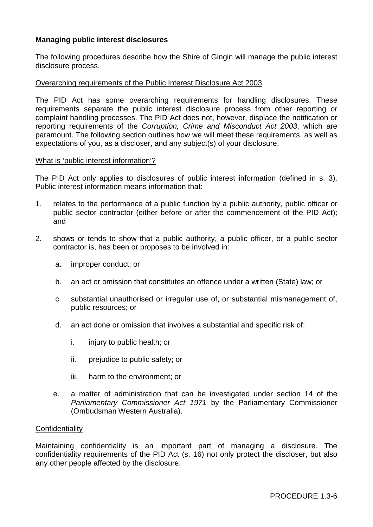# **Managing public interest disclosures**

The following procedures describe how the Shire of Gingin will manage the public interest disclosure process.

#### Overarching requirements of the Public Interest Disclosure Act 2003

The PID Act has some overarching requirements for handling disclosures. These requirements separate the public interest disclosure process from other reporting or complaint handling processes. The PID Act does not, however, displace the notification or reporting requirements of the *Corruption, Crime and Misconduct Act 2003*, which are paramount. The following section outlines how we will meet these requirements, as well as expectations of you, as a discloser, and any subject(s) of your disclosure.

#### What is 'public interest information'?

The PID Act only applies to disclosures of public interest information (defined in s. 3). Public interest information means information that:

- 1. relates to the performance of a public function by a public authority, public officer or public sector contractor (either before or after the commencement of the PID Act); and
- 2. shows or tends to show that a public authority, a public officer, or a public sector contractor is, has been or proposes to be involved in:
	- a. improper conduct; or
	- b. an act or omission that constitutes an offence under a written (State) law; or
	- c. substantial unauthorised or irregular use of, or substantial mismanagement of, public resources; or
	- d. an act done or omission that involves a substantial and specific risk of:
		- i. injury to public health; or
		- ii. prejudice to public safety; or
		- iii. harm to the environment; or
	- e. a matter of administration that can be investigated under section 14 of the *Parliamentary Commissioner Act 1971* by the Parliamentary Commissioner (Ombudsman Western Australia).

#### **Confidentiality**

Maintaining confidentiality is an important part of managing a disclosure. The confidentiality requirements of the PID Act (s. 16) not only protect the discloser, but also any other people affected by the disclosure.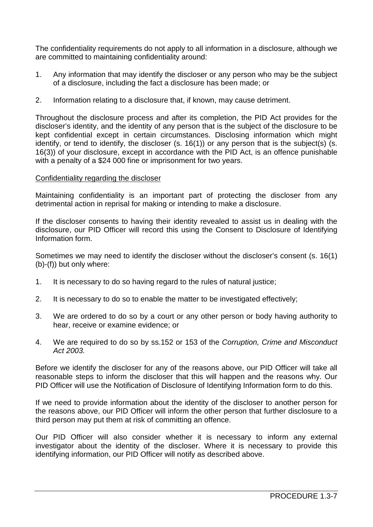The confidentiality requirements do not apply to all information in a disclosure, although we are committed to maintaining confidentiality around:

- 1. Any information that may identify the discloser or any person who may be the subject of a disclosure, including the fact a disclosure has been made; or
- 2. Information relating to a disclosure that, if known, may cause detriment.

Throughout the disclosure process and after its completion, the PID Act provides for the discloser's identity, and the identity of any person that is the subject of the disclosure to be kept confidential except in certain circumstances. Disclosing information which might identify, or tend to identify, the discloser (s. 16(1)) or any person that is the subject(s) (s. 16(3)) of your disclosure, except in accordance with the PID Act, is an offence punishable with a penalty of a \$24 000 fine or imprisonment for two years.

## Confidentiality regarding the discloser

Maintaining confidentiality is an important part of protecting the discloser from any detrimental action in reprisal for making or intending to make a disclosure.

If the discloser consents to having their identity revealed to assist us in dealing with the disclosure, our PID Officer will record this using the Consent to Disclosure of Identifying Information form.

Sometimes we may need to identify the discloser without the discloser's consent (s. 16(1) (b)-(f)) but only where:

- 1. It is necessary to do so having regard to the rules of natural justice;
- 2. It is necessary to do so to enable the matter to be investigated effectively;
- 3. We are ordered to do so by a court or any other person or body having authority to hear, receive or examine evidence; or
- 4. We are required to do so by ss.152 or 153 of the *Corruption, Crime and Misconduct Act 2003.*

Before we identify the discloser for any of the reasons above, our PID Officer will take all reasonable steps to inform the discloser that this will happen and the reasons why. Our PID Officer will use the Notification of Disclosure of Identifying Information form to do this.

If we need to provide information about the identity of the discloser to another person for the reasons above, our PID Officer will inform the other person that further disclosure to a third person may put them at risk of committing an offence.

Our PID Officer will also consider whether it is necessary to inform any external investigator about the identity of the discloser. Where it is necessary to provide this identifying information, our PID Officer will notify as described above.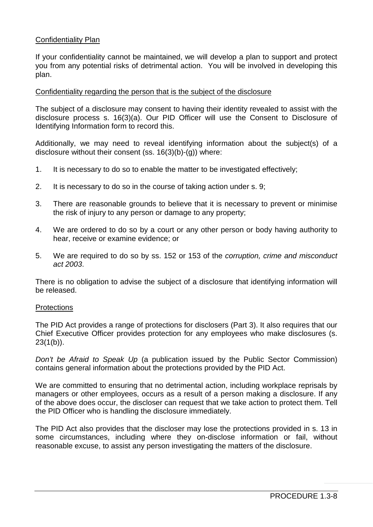## Confidentiality Plan

If your confidentiality cannot be maintained, we will develop a plan to support and protect you from any potential risks of detrimental action. You will be involved in developing this plan.

#### Confidentiality regarding the person that is the subject of the disclosure

The subject of a disclosure may consent to having their identity revealed to assist with the disclosure process s. 16(3)(a). Our PID Officer will use the Consent to Disclosure of Identifying Information form to record this.

Additionally, we may need to reveal identifying information about the subject(s) of a disclosure without their consent (ss. 16(3)(b)-(g)) where:

- 1. It is necessary to do so to enable the matter to be investigated effectively;
- 2. It is necessary to do so in the course of taking action under s. 9;
- 3. There are reasonable grounds to believe that it is necessary to prevent or minimise the risk of injury to any person or damage to any property;
- 4. We are ordered to do so by a court or any other person or body having authority to hear, receive or examine evidence; or
- 5. We are required to do so by ss. 152 or 153 of the *corruption, crime and misconduct act 2003*.

There is no obligation to advise the subject of a disclosure that identifying information will be released.

#### **Protections**

The PID Act provides a range of protections for disclosers (Part 3). It also requires that our Chief Executive Officer provides protection for any employees who make disclosures (s.  $23(1(b))$ .

*Don't be Afraid to Speak Up* (a publication issued by the Public Sector Commission) contains general information about the protections provided by the PID Act.

We are committed to ensuring that no detrimental action, including workplace reprisals by managers or other employees, occurs as a result of a person making a disclosure. If any of the above does occur, the discloser can request that we take action to protect them. Tell the PID Officer who is handling the disclosure immediately.

The PID Act also provides that the discloser may lose the protections provided in s. 13 in some circumstances, including where they on-disclose information or fail, without reasonable excuse, to assist any person investigating the matters of the disclosure.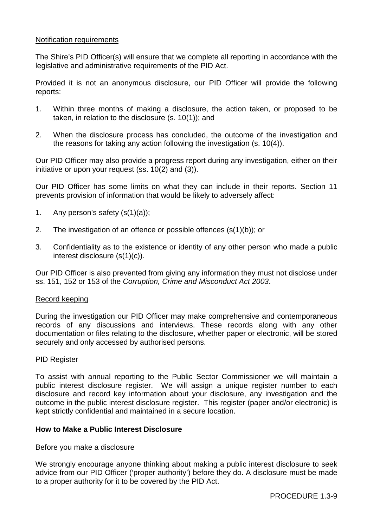## Notification requirements

The Shire's PID Officer(s) will ensure that we complete all reporting in accordance with the legislative and administrative requirements of the PID Act.

Provided it is not an anonymous disclosure, our PID Officer will provide the following reports:

- 1. Within three months of making a disclosure, the action taken, or proposed to be taken, in relation to the disclosure (s. 10(1)); and
- 2. When the disclosure process has concluded, the outcome of the investigation and the reasons for taking any action following the investigation (s. 10(4)).

Our PID Officer may also provide a progress report during any investigation, either on their initiative or upon your request (ss. 10(2) and (3)).

Our PID Officer has some limits on what they can include in their reports. Section 11 prevents provision of information that would be likely to adversely affect:

- 1. Any person's safety  $(s(1)(a))$ ;
- 2. The investigation of an offence or possible offences (s(1)(b)); or
- 3. Confidentiality as to the existence or identity of any other person who made a public interest disclosure (s(1)(c)).

Our PID Officer is also prevented from giving any information they must not disclose under ss. 151, 152 or 153 of the *Corruption, Crime and Misconduct Act 2003*.

#### Record keeping

During the investigation our PID Officer may make comprehensive and contemporaneous records of any discussions and interviews. These records along with any other documentation or files relating to the disclosure, whether paper or electronic, will be stored securely and only accessed by authorised persons.

## PID Register

To assist with annual reporting to the Public Sector Commissioner we will maintain a public interest disclosure register. We will assign a unique register number to each disclosure and record key information about your disclosure, any investigation and the outcome in the public interest disclosure register. This register (paper and/or electronic) is kept strictly confidential and maintained in a secure location.

#### **How to Make a Public Interest Disclosure**

#### Before you make a disclosure

We strongly encourage anyone thinking about making a public interest disclosure to seek advice from our PID Officer ('proper authority') before they do. A disclosure must be made to a proper authority for it to be covered by the PID Act.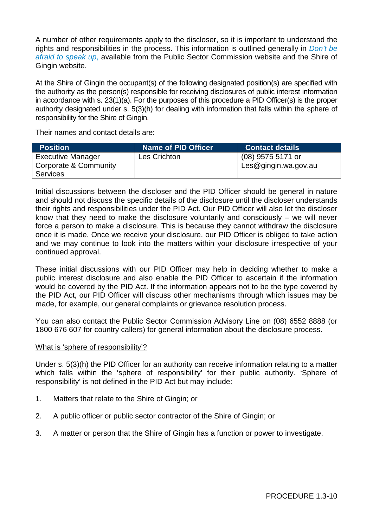A number of other requirements apply to the discloser, so it is important to understand the rights and responsibilities in the process. This information is outlined generally in *Don't be afraid to speak up*, available from the Public Sector Commission website and the Shire of Gingin website.

At the Shire of Gingin the occupant(s) of the following designated position(s) are specified with the authority as the person(s) responsible for receiving disclosures of public interest information in accordance with s. 23(1)(a). For the purposes of this procedure a PID Officer(s) is the proper authority designated under s. 5(3)(h) for dealing with information that falls within the sphere of responsibility for the Shire of Gingin.

Their names and contact details are:

| <b>Position</b>          | <b>Name of PID Officer</b> | <b>Contact details</b> |
|--------------------------|----------------------------|------------------------|
| <b>Executive Manager</b> | <b>Les Crichton</b>        | $(08)$ 9575 5171 or    |
| Corporate & Community    |                            | Les@gingin.wa.gov.au   |
| <b>Services</b>          |                            |                        |

Initial discussions between the discloser and the PID Officer should be general in nature and should not discuss the specific details of the disclosure until the discloser understands their rights and responsibilities under the PID Act. Our PID Officer will also let the discloser know that they need to make the disclosure voluntarily and consciously – we will never force a person to make a disclosure. This is because they cannot withdraw the disclosure once it is made. Once we receive your disclosure, our PID Officer is obliged to take action and we may continue to look into the matters within your disclosure irrespective of your continued approval.

These initial discussions with our PID Officer may help in deciding whether to make a public interest disclosure and also enable the PID Officer to ascertain if the information would be covered by the PID Act. If the information appears not to be the type covered by the PID Act, our PID Officer will discuss other mechanisms through which issues may be made, for example, our general complaints or grievance resolution process.

You can also contact the Public Sector Commission Advisory Line on (08) 6552 8888 (or 1800 676 607 for country callers) for general information about the disclosure process.

## What is 'sphere of responsibility'?

Under s. 5(3)(h) the PID Officer for an authority can receive information relating to a matter which falls within the 'sphere of responsibility' for their public authority. 'Sphere of responsibility' is not defined in the PID Act but may include:

- 1. Matters that relate to the Shire of Gingin; or
- 2. A public officer or public sector contractor of the Shire of Gingin; or
- 3. A matter or person that the Shire of Gingin has a function or power to investigate.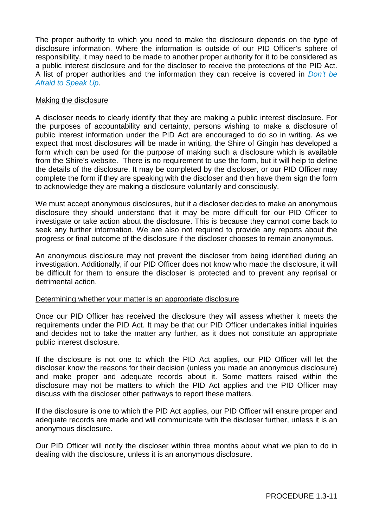The proper authority to which you need to make the disclosure depends on the type of disclosure information. Where the information is outside of our PID Officer's sphere of responsibility, it may need to be made to another proper authority for it to be considered as a public interest disclosure and for the discloser to receive the protections of the PID Act. A list of proper authorities and the information they can receive is covered in *Don't be Afraid to Speak Up*.

## Making the disclosure

A discloser needs to clearly identify that they are making a public interest disclosure. For the purposes of accountability and certainty, persons wishing to make a disclosure of public interest information under the PID Act are encouraged to do so in writing. As we expect that most disclosures will be made in writing, the Shire of Gingin has developed a form which can be used for the purpose of making such a disclosure which is available from the Shire's website. There is no requirement to use the form, but it will help to define the details of the disclosure. It may be completed by the discloser, or our PID Officer may complete the form if they are speaking with the discloser and then have them sign the form to acknowledge they are making a disclosure voluntarily and consciously.

We must accept anonymous disclosures, but if a discloser decides to make an anonymous disclosure they should understand that it may be more difficult for our PID Officer to investigate or take action about the disclosure. This is because they cannot come back to seek any further information. We are also not required to provide any reports about the progress or final outcome of the disclosure if the discloser chooses to remain anonymous.

An anonymous disclosure may not prevent the discloser from being identified during an investigation. Additionally, if our PID Officer does not know who made the disclosure, it will be difficult for them to ensure the discloser is protected and to prevent any reprisal or detrimental action.

## Determining whether your matter is an appropriate disclosure

Once our PID Officer has received the disclosure they will assess whether it meets the requirements under the PID Act. It may be that our PID Officer undertakes initial inquiries and decides not to take the matter any further, as it does not constitute an appropriate public interest disclosure.

If the disclosure is not one to which the PID Act applies, our PID Officer will let the discloser know the reasons for their decision (unless you made an anonymous disclosure) and make proper and adequate records about it. Some matters raised within the disclosure may not be matters to which the PID Act applies and the PID Officer may discuss with the discloser other pathways to report these matters.

If the disclosure is one to which the PID Act applies, our PID Officer will ensure proper and adequate records are made and will communicate with the discloser further, unless it is an anonymous disclosure.

Our PID Officer will notify the discloser within three months about what we plan to do in dealing with the disclosure, unless it is an anonymous disclosure.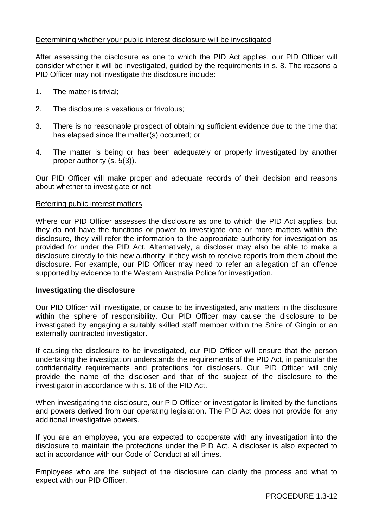## Determining whether your public interest disclosure will be investigated

After assessing the disclosure as one to which the PID Act applies, our PID Officer will consider whether it will be investigated, guided by the requirements in s. 8. The reasons a PID Officer may not investigate the disclosure include:

- 1. The matter is trivial;
- 2. The disclosure is vexatious or frivolous;
- 3. There is no reasonable prospect of obtaining sufficient evidence due to the time that has elapsed since the matter(s) occurred; or
- 4. The matter is being or has been adequately or properly investigated by another proper authority (s. 5(3)).

Our PID Officer will make proper and adequate records of their decision and reasons about whether to investigate or not.

#### Referring public interest matters

Where our PID Officer assesses the disclosure as one to which the PID Act applies, but they do not have the functions or power to investigate one or more matters within the disclosure, they will refer the information to the appropriate authority for investigation as provided for under the PID Act. Alternatively, a discloser may also be able to make a disclosure directly to this new authority, if they wish to receive reports from them about the disclosure. For example, our PID Officer may need to refer an allegation of an offence supported by evidence to the Western Australia Police for investigation.

#### **Investigating the disclosure**

Our PID Officer will investigate, or cause to be investigated, any matters in the disclosure within the sphere of responsibility. Our PID Officer may cause the disclosure to be investigated by engaging a suitably skilled staff member within the Shire of Gingin or an externally contracted investigator.

If causing the disclosure to be investigated, our PID Officer will ensure that the person undertaking the investigation understands the requirements of the PID Act, in particular the confidentiality requirements and protections for disclosers. Our PID Officer will only provide the name of the discloser and that of the subject of the disclosure to the investigator in accordance with s. 16 of the PID Act.

When investigating the disclosure, our PID Officer or investigator is limited by the functions and powers derived from our operating legislation. The PID Act does not provide for any additional investigative powers.

If you are an employee, you are expected to cooperate with any investigation into the disclosure to maintain the protections under the PID Act. A discloser is also expected to act in accordance with our Code of Conduct at all times.

Employees who are the subject of the disclosure can clarify the process and what to expect with our PID Officer.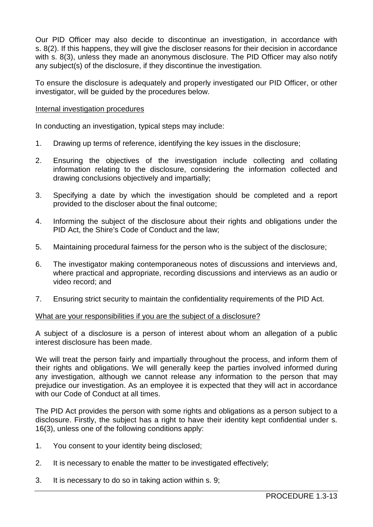Our PID Officer may also decide to discontinue an investigation, in accordance with s. 8(2). If this happens, they will give the discloser reasons for their decision in accordance with s. 8(3), unless they made an anonymous disclosure. The PID Officer may also notify any subject(s) of the disclosure, if they discontinue the investigation.

To ensure the disclosure is adequately and properly investigated our PID Officer, or other investigator, will be guided by the procedures below.

## Internal investigation procedures

In conducting an investigation, typical steps may include:

- 1. Drawing up terms of reference, identifying the key issues in the disclosure;
- 2. Ensuring the objectives of the investigation include collecting and collating information relating to the disclosure, considering the information collected and drawing conclusions objectively and impartially;
- 3. Specifying a date by which the investigation should be completed and a report provided to the discloser about the final outcome;
- 4. Informing the subject of the disclosure about their rights and obligations under the PID Act, the Shire's Code of Conduct and the law;
- 5. Maintaining procedural fairness for the person who is the subject of the disclosure;
- 6. The investigator making contemporaneous notes of discussions and interviews and, where practical and appropriate, recording discussions and interviews as an audio or video record; and
- 7. Ensuring strict security to maintain the confidentiality requirements of the PID Act.

#### What are your responsibilities if you are the subject of a disclosure?

A subject of a disclosure is a person of interest about whom an allegation of a public interest disclosure has been made.

We will treat the person fairly and impartially throughout the process, and inform them of their rights and obligations. We will generally keep the parties involved informed during any investigation, although we cannot release any information to the person that may prejudice our investigation. As an employee it is expected that they will act in accordance with our Code of Conduct at all times.

The PID Act provides the person with some rights and obligations as a person subject to a disclosure. Firstly, the subject has a right to have their identity kept confidential under s. 16(3), unless one of the following conditions apply:

- 1. You consent to your identity being disclosed;
- 2. It is necessary to enable the matter to be investigated effectively;
- 3. It is necessary to do so in taking action within s. 9;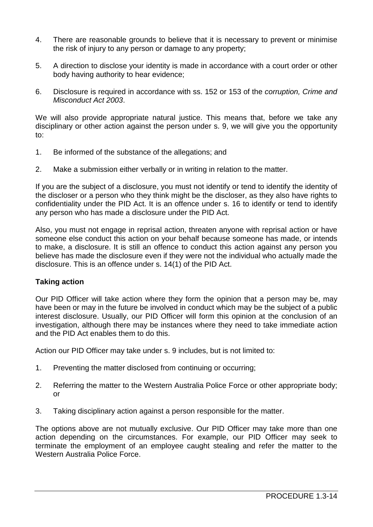- 4. There are reasonable grounds to believe that it is necessary to prevent or minimise the risk of injury to any person or damage to any property;
- 5. A direction to disclose your identity is made in accordance with a court order or other body having authority to hear evidence;
- 6. Disclosure is required in accordance with ss. 152 or 153 of the *corruption, Crime and Misconduct Act 2003*.

We will also provide appropriate natural justice. This means that, before we take any disciplinary or other action against the person under s. 9, we will give you the opportunity to:

- 1. Be informed of the substance of the allegations; and
- 2. Make a submission either verbally or in writing in relation to the matter.

If you are the subject of a disclosure, you must not identify or tend to identify the identity of the discloser or a person who they think might be the discloser, as they also have rights to confidentiality under the PID Act. It is an offence under s. 16 to identify or tend to identify any person who has made a disclosure under the PID Act.

Also, you must not engage in reprisal action, threaten anyone with reprisal action or have someone else conduct this action on your behalf because someone has made, or intends to make, a disclosure. It is still an offence to conduct this action against any person you believe has made the disclosure even if they were not the individual who actually made the disclosure. This is an offence under s. 14(1) of the PID Act.

# **Taking action**

Our PID Officer will take action where they form the opinion that a person may be, may have been or may in the future be involved in conduct which may be the subject of a public interest disclosure. Usually, our PID Officer will form this opinion at the conclusion of an investigation, although there may be instances where they need to take immediate action and the PID Act enables them to do this.

Action our PID Officer may take under s. 9 includes, but is not limited to:

- 1. Preventing the matter disclosed from continuing or occurring;
- 2. Referring the matter to the Western Australia Police Force or other appropriate body; or
- 3. Taking disciplinary action against a person responsible for the matter.

The options above are not mutually exclusive. Our PID Officer may take more than one action depending on the circumstances. For example, our PID Officer may seek to terminate the employment of an employee caught stealing and refer the matter to the Western Australia Police Force.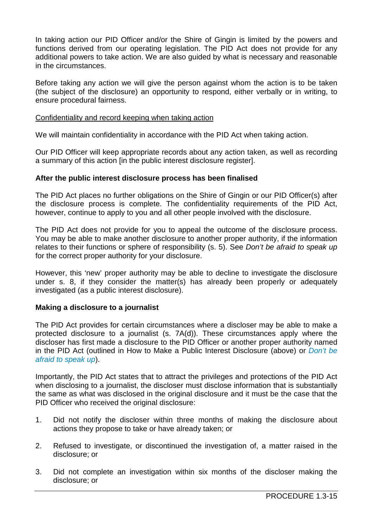In taking action our PID Officer and/or the Shire of Gingin is limited by the powers and functions derived from our operating legislation. The PID Act does not provide for any additional powers to take action. We are also guided by what is necessary and reasonable in the circumstances.

Before taking any action we will give the person against whom the action is to be taken (the subject of the disclosure) an opportunity to respond, either verbally or in writing, to ensure procedural fairness.

## Confidentiality and record keeping when taking action

We will maintain confidentiality in accordance with the PID Act when taking action.

Our PID Officer will keep appropriate records about any action taken, as well as recording a summary of this action [in the public interest disclosure register].

#### **After the public interest disclosure process has been finalised**

The PID Act places no further obligations on the Shire of Gingin or our PID Officer(s) after the disclosure process is complete. The confidentiality requirements of the PID Act, however, continue to apply to you and all other people involved with the disclosure.

The PID Act does not provide for you to appeal the outcome of the disclosure process. You may be able to make another disclosure to another proper authority, if the information relates to their functions or sphere of responsibility (s. 5). See *Don't be afraid to speak up* for the correct proper authority for your disclosure.

However, this 'new' proper authority may be able to decline to investigate the disclosure under s. 8, if they consider the matter(s) has already been properly or adequately investigated (as a public interest disclosure).

## **Making a disclosure to a journalist**

The PID Act provides for certain circumstances where a discloser may be able to make a protected disclosure to a journalist (s. 7A(d)). These circumstances apply where the discloser has first made a disclosure to the PID Officer or another proper authority named in the PID Act (outlined in How to Make a Public Interest Disclosure (above) or *Don't be afraid to speak up*).

Importantly, the PID Act states that to attract the privileges and protections of the PID Act when disclosing to a journalist, the discloser must disclose information that is substantially the same as what was disclosed in the original disclosure and it must be the case that the PID Officer who received the original disclosure:

- 1. Did not notify the discloser within three months of making the disclosure about actions they propose to take or have already taken; or
- 2. Refused to investigate, or discontinued the investigation of, a matter raised in the disclosure; or
- 3. Did not complete an investigation within six months of the discloser making the disclosure; or